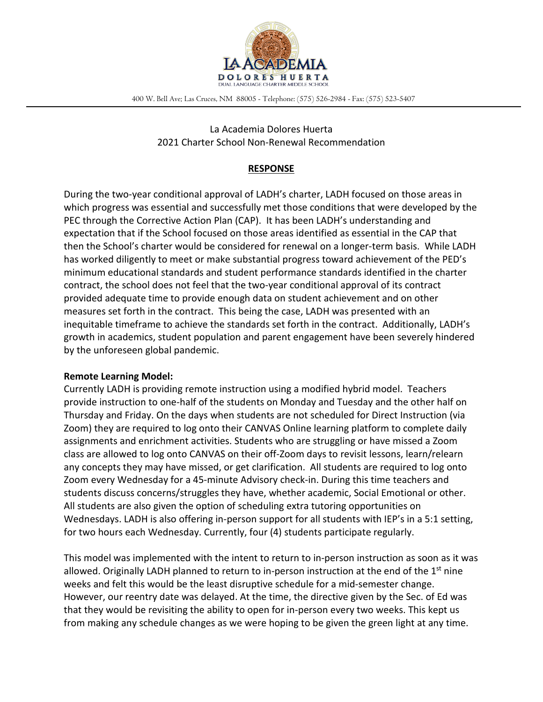

400 W. Bell Ave; Las Cruces, NM 88005 - Telephone: (575) 526-2984 - Fax: (575) 523-5407

La Academia Dolores Huerta 2021 Charter School Non-Renewal Recommendation

# **RESPONSE**

During the two-year conditional approval of LADH's charter, LADH focused on those areas in which progress was essential and successfully met those conditions that were developed by the PEC through the Corrective Action Plan (CAP). It has been LADH's understanding and expectation that if the School focused on those areas identified as essential in the CAP that then the School's charter would be considered for renewal on a longer-term basis. While LADH has worked diligently to meet or make substantial progress toward achievement of the PED's minimum educational standards and student performance standards identified in the charter contract, the school does not feel that the two-year conditional approval of its contract provided adequate time to provide enough data on student achievement and on other measures set forth in the contract. This being the case, LADH was presented with an inequitable timeframe to achieve the standards set forth in the contract. Additionally, LADH's growth in academics, student population and parent engagement have been severely hindered by the unforeseen global pandemic.

### **Remote Learning Model:**

Currently LADH is providing remote instruction using a modified hybrid model. Teachers provide instruction to one-half of the students on Monday and Tuesday and the other half on Thursday and Friday. On the days when students are not scheduled for Direct Instruction (via Zoom) they are required to log onto their CANVAS Online learning platform to complete daily assignments and enrichment activities. Students who are struggling or have missed a Zoom class are allowed to log onto CANVAS on their off-Zoom days to revisit lessons, learn/relearn any concepts they may have missed, or get clarification. All students are required to log onto Zoom every Wednesday for a 45-minute Advisory check-in. During this time teachers and students discuss concerns/struggles they have, whether academic, Social Emotional or other. All students are also given the option of scheduling extra tutoring opportunities on Wednesdays. LADH is also offering in-person support for all students with IEP's in a 5:1 setting, for two hours each Wednesday. Currently, four (4) students participate regularly.

This model was implemented with the intent to return to in-person instruction as soon as it was allowed. Originally LADH planned to return to in-person instruction at the end of the  $1<sup>st</sup>$  nine weeks and felt this would be the least disruptive schedule for a mid-semester change. However, our reentry date was delayed. At the time, the directive given by the Sec. of Ed was that they would be revisiting the ability to open for in-person every two weeks. This kept us from making any schedule changes as we were hoping to be given the green light at any time.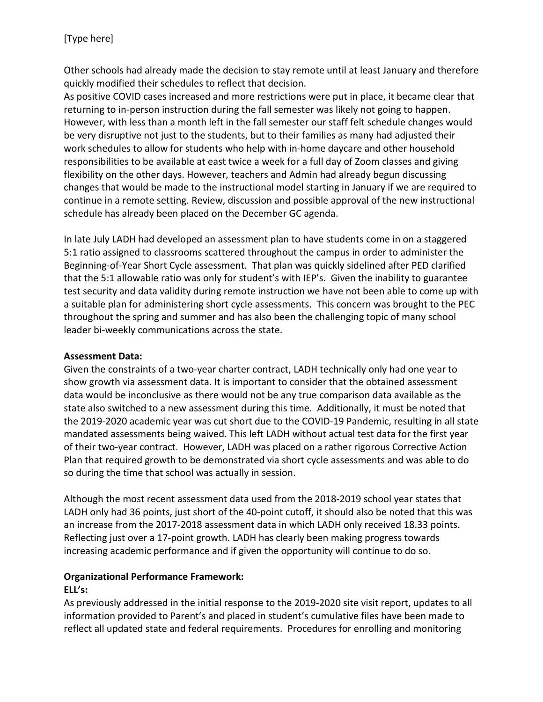Other schools had already made the decision to stay remote until at least January and therefore quickly modified their schedules to reflect that decision.

As positive COVID cases increased and more restrictions were put in place, it became clear that returning to in-person instruction during the fall semester was likely not going to happen. However, with less than a month left in the fall semester our staff felt schedule changes would be very disruptive not just to the students, but to their families as many had adjusted their work schedules to allow for students who help with in-home daycare and other household responsibilities to be available at east twice a week for a full day of Zoom classes and giving flexibility on the other days. However, teachers and Admin had already begun discussing changes that would be made to the instructional model starting in January if we are required to continue in a remote setting. Review, discussion and possible approval of the new instructional schedule has already been placed on the December GC agenda.

In late July LADH had developed an assessment plan to have students come in on a staggered 5:1 ratio assigned to classrooms scattered throughout the campus in order to administer the Beginning-of-Year Short Cycle assessment. That plan was quickly sidelined after PED clarified that the 5:1 allowable ratio was only for student's with IEP's. Given the inability to guarantee test security and data validity during remote instruction we have not been able to come up with a suitable plan for administering short cycle assessments. This concern was brought to the PEC throughout the spring and summer and has also been the challenging topic of many school leader bi-weekly communications across the state.

## **Assessment Data:**

Given the constraints of a two-year charter contract, LADH technically only had one year to show growth via assessment data. It is important to consider that the obtained assessment data would be inconclusive as there would not be any true comparison data available as the state also switched to a new assessment during this time. Additionally, it must be noted that the 2019-2020 academic year was cut short due to the COVID-19 Pandemic, resulting in all state mandated assessments being waived. This left LADH without actual test data for the first year of their two-year contract. However, LADH was placed on a rather rigorous Corrective Action Plan that required growth to be demonstrated via short cycle assessments and was able to do so during the time that school was actually in session.

Although the most recent assessment data used from the 2018-2019 school year states that LADH only had 36 points, just short of the 40-point cutoff, it should also be noted that this was an increase from the 2017-2018 assessment data in which LADH only received 18.33 points. Reflecting just over a 17-point growth. LADH has clearly been making progress towards increasing academic performance and if given the opportunity will continue to do so.

## **Organizational Performance Framework: ELL's:**

As previously addressed in the initial response to the 2019-2020 site visit report, updates to all information provided to Parent's and placed in student's cumulative files have been made to reflect all updated state and federal requirements. Procedures for enrolling and monitoring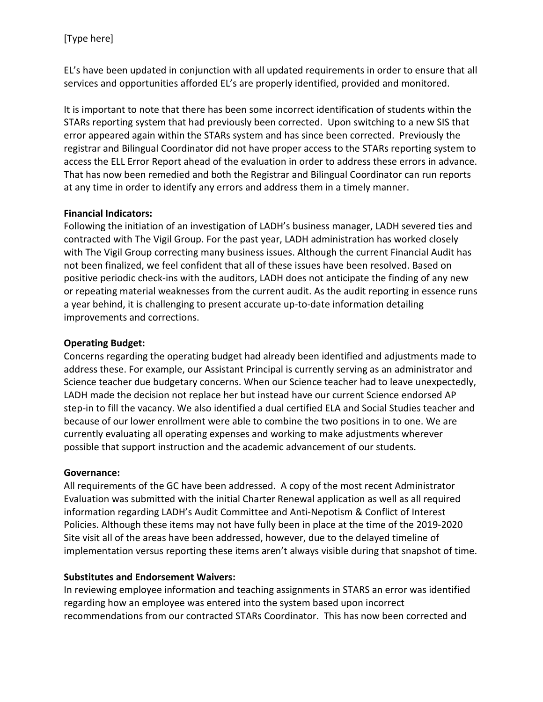EL's have been updated in conjunction with all updated requirements in order to ensure that all services and opportunities afforded EL's are properly identified, provided and monitored.

It is important to note that there has been some incorrect identification of students within the STARs reporting system that had previously been corrected. Upon switching to a new SIS that error appeared again within the STARs system and has since been corrected. Previously the registrar and Bilingual Coordinator did not have proper access to the STARs reporting system to access the ELL Error Report ahead of the evaluation in order to address these errors in advance. That has now been remedied and both the Registrar and Bilingual Coordinator can run reports at any time in order to identify any errors and address them in a timely manner.

# **Financial Indicators:**

Following the initiation of an investigation of LADH's business manager, LADH severed ties and contracted with The Vigil Group. For the past year, LADH administration has worked closely with The Vigil Group correcting many business issues. Although the current Financial Audit has not been finalized, we feel confident that all of these issues have been resolved. Based on positive periodic check-ins with the auditors, LADH does not anticipate the finding of any new or repeating material weaknesses from the current audit. As the audit reporting in essence runs a year behind, it is challenging to present accurate up-to-date information detailing improvements and corrections.

# **Operating Budget:**

Concerns regarding the operating budget had already been identified and adjustments made to address these. For example, our Assistant Principal is currently serving as an administrator and Science teacher due budgetary concerns. When our Science teacher had to leave unexpectedly, LADH made the decision not replace her but instead have our current Science endorsed AP step-in to fill the vacancy. We also identified a dual certified ELA and Social Studies teacher and because of our lower enrollment were able to combine the two positions in to one. We are currently evaluating all operating expenses and working to make adjustments wherever possible that support instruction and the academic advancement of our students.

## **Governance:**

All requirements of the GC have been addressed. A copy of the most recent Administrator Evaluation was submitted with the initial Charter Renewal application as well as all required information regarding LADH's Audit Committee and Anti-Nepotism & Conflict of Interest Policies. Although these items may not have fully been in place at the time of the 2019-2020 Site visit all of the areas have been addressed, however, due to the delayed timeline of implementation versus reporting these items aren't always visible during that snapshot of time.

## **Substitutes and Endorsement Waivers:**

In reviewing employee information and teaching assignments in STARS an error was identified regarding how an employee was entered into the system based upon incorrect recommendations from our contracted STARs Coordinator. This has now been corrected and